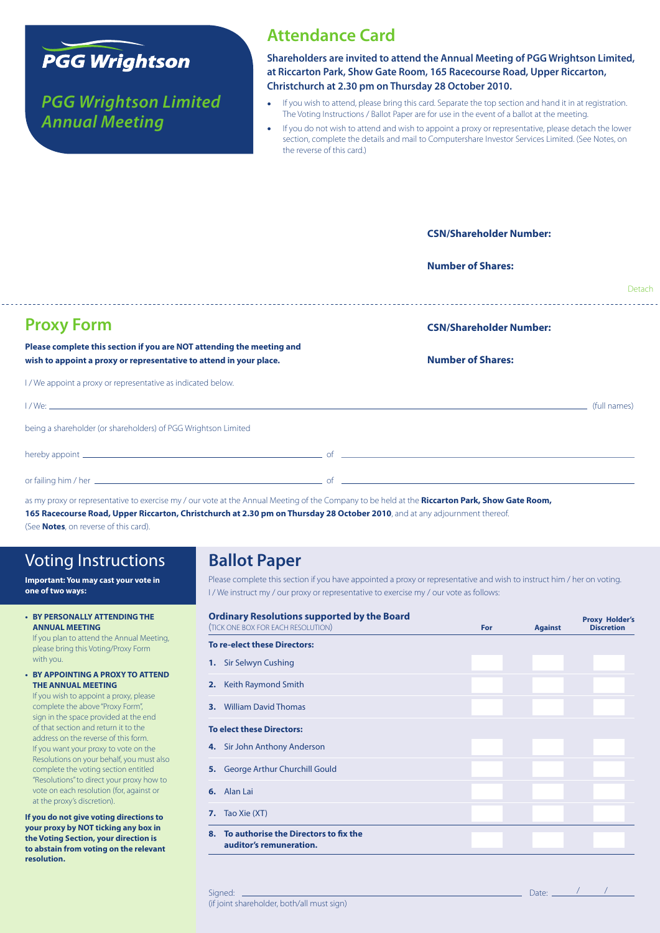

*PGG Wrightson Limited Annual Meeting*

### **Attendance Card**

**Shareholders are invited to attend the Annual Meeting of PGG Wrightson Limited, at Riccarton Park, Show Gate Room, 165 Racecourse Road, Upper Riccarton, Christchurch at 2.30 pm on Thursday 28 October 2010.**

- If you wish to attend, please bring this card. Separate the top section and hand it in at registration. The Voting Instructions / Ballot Paper are for use in the event of a ballot at the meeting.
- If you do not wish to attend and wish to appoint a proxy or representative, please detach the lower section, complete the details and mail to Computershare Investor Services Limited. (See Notes, on the reverse of this card.)

|                                                                                                                                             | <b>CSN/Shareholder Number:</b> |        |
|---------------------------------------------------------------------------------------------------------------------------------------------|--------------------------------|--------|
|                                                                                                                                             | <b>Number of Shares:</b>       |        |
|                                                                                                                                             |                                | Detach |
| <b>Proxy Form</b>                                                                                                                           | <b>CSN/Shareholder Number:</b> |        |
| Please complete this section if you are NOT attending the meeting and<br>wish to appoint a proxy or representative to attend in your place. | <b>Number of Shares:</b>       |        |
| I / We appoint a proxy or representative as indicated below.                                                                                |                                |        |
|                                                                                                                                             |                                |        |
| being a shareholder (or shareholders) of PGG Wrightson Limited                                                                              |                                |        |
|                                                                                                                                             |                                |        |
|                                                                                                                                             |                                |        |

as my proxy or representative to exercise my / our vote at the Annual Meeting of the Company to be held at the **Riccarton Park, Show Gate Room,** 

165 Racecourse Road, Upper Riccarton, Christchurch at 2.30 pm on Thursday 28 October 2010, and at any adjournment thereof.

(See **Notes**, on reverse of this card).

# Voting Instructions

**Important: You may cast your vote in one of two ways:**

**• BY PERSONALLY ATTENDINGTHE ANNUAL MEETING** If you plan to attend the Annual Meeting,

please bring this Voting/Proxy Form with you.

**• BY APPOINTING A PROXY TO ATTEND THE ANNUAL MEETING**

If you wish to appoint a proxy, please complete the above "Proxy Form", sign in the space provided at the end of that section and return it to the address on the reverse of this form. If you want your proxy to vote on the Resolutions on your behalf, you must also complete the voting section entitled "Resolutions" to direct your proxy how to vote on each resolution (for, against or at the proxy's discretion).

**If you do not give voting directions to your proxy by NOT ticking any box in the Voting Section, your direction is to abstain from voting on the relevant resolution.**

# **Ballot Paper**

Please complete this section if you have appointed a proxy or representative and wish to instruct him / her on voting. I / We instruct my / our proxy or representative to exercise my / our vote as follows:

|    | <b>Ordinary Resolutions supported by the Board</b><br>(TICK ONE BOX FOR EACH RESOLUTION) | For | <b>Against</b> | <b>Proxy Holder's</b><br><b>Discretion</b> |
|----|------------------------------------------------------------------------------------------|-----|----------------|--------------------------------------------|
|    | <b>To re-elect these Directors:</b>                                                      |     |                |                                            |
|    | <b>1.</b> Sir Selwyn Cushing                                                             |     |                |                                            |
| 2. | Keith Raymond Smith                                                                      |     |                |                                            |
| 3. | <b>William David Thomas</b>                                                              |     |                |                                            |
|    | <b>To elect these Directors:</b>                                                         |     |                |                                            |
|    | 4. Sir John Anthony Anderson                                                             |     |                |                                            |
|    | 5. George Arthur Churchill Gould                                                         |     |                |                                            |
| 6. | Alan Lai                                                                                 |     |                |                                            |
| 7. | Tao Xie (XT)                                                                             |     |                |                                            |
| 8. | To authorise the Directors to fix the<br>auditor's remuneration.                         |     |                |                                            |

#### Signed: Date: / / (if joint shareholder, both/all must sign)